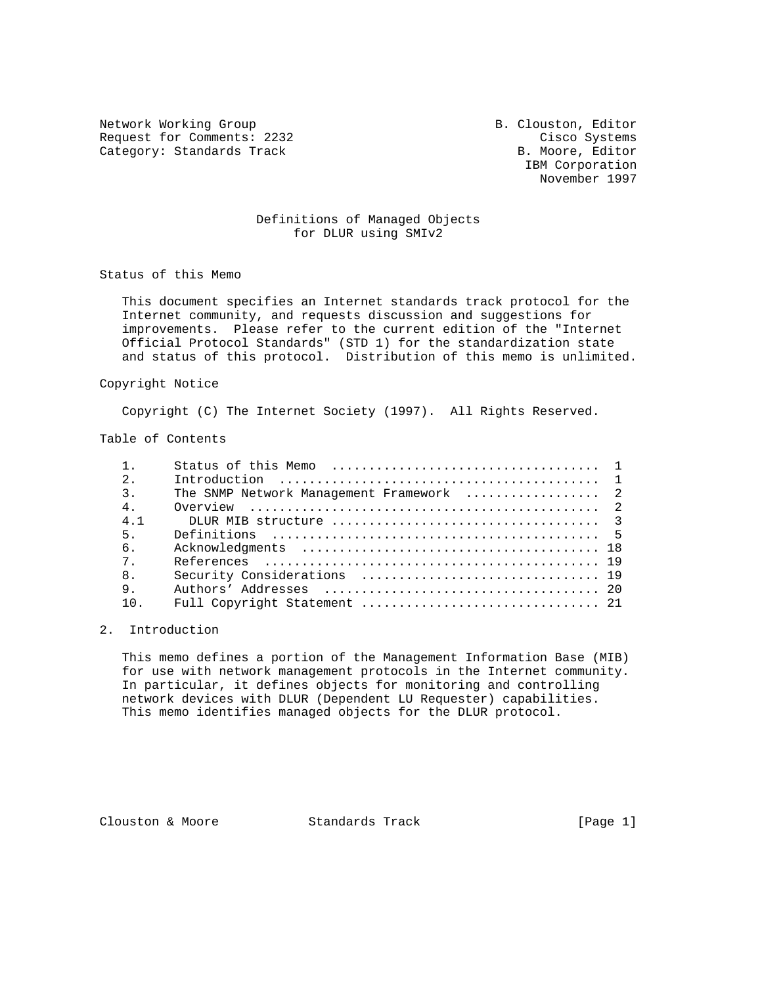Network Working Group B. Clouston, Editor Request for Comments: 2232 Cisco Systems Category: Standards Track B. Moore, Editor

 IBM Corporation November 1997

# Definitions of Managed Objects for DLUR using SMIv2

Status of this Memo

 This document specifies an Internet standards track protocol for the Internet community, and requests discussion and suggestions for improvements. Please refer to the current edition of the "Internet Official Protocol Standards" (STD 1) for the standardization state and status of this protocol. Distribution of this memo is unlimited.

#### Copyright Notice

Copyright (C) The Internet Society (1997). All Rights Reserved.

### Table of Contents

| 2.             |                                                                                         |  |
|----------------|-----------------------------------------------------------------------------------------|--|
| 3 <sup>1</sup> | The SNMP Network Management Framework  2                                                |  |
| 4 <sub>1</sub> | Overview $\ldots \ldots \ldots \ldots \ldots \ldots \ldots \ldots \ldots \ldots \ldots$ |  |
| 4.1            |                                                                                         |  |
| 5 <sub>1</sub> |                                                                                         |  |
| 6.             |                                                                                         |  |
| 7              |                                                                                         |  |
| 8 <sub>1</sub> |                                                                                         |  |
| 9.             |                                                                                         |  |
| 10             |                                                                                         |  |
|                |                                                                                         |  |

# 2. Introduction

 This memo defines a portion of the Management Information Base (MIB) for use with network management protocols in the Internet community. In particular, it defines objects for monitoring and controlling network devices with DLUR (Dependent LU Requester) capabilities. This memo identifies managed objects for the DLUR protocol.

Clouston & Moore 6 Standards Track [Page 1]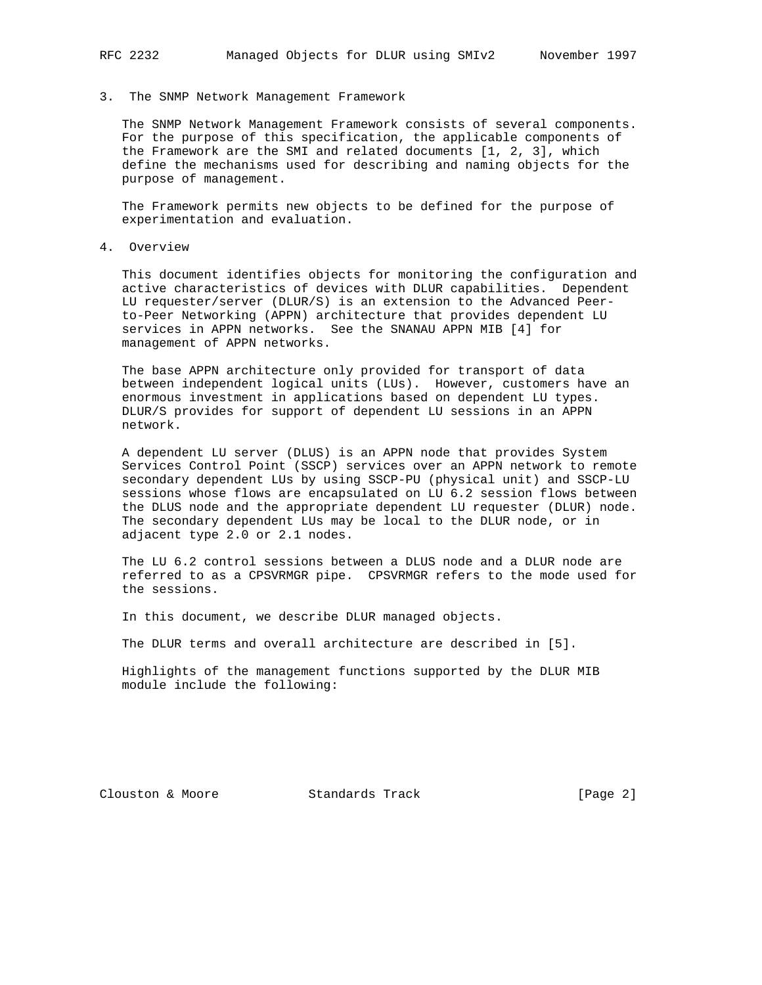#### 3. The SNMP Network Management Framework

 The SNMP Network Management Framework consists of several components. For the purpose of this specification, the applicable components of the Framework are the SMI and related documents [1, 2, 3], which define the mechanisms used for describing and naming objects for the purpose of management.

 The Framework permits new objects to be defined for the purpose of experimentation and evaluation.

4. Overview

 This document identifies objects for monitoring the configuration and active characteristics of devices with DLUR capabilities. Dependent LU requester/server (DLUR/S) is an extension to the Advanced Peer to-Peer Networking (APPN) architecture that provides dependent LU services in APPN networks. See the SNANAU APPN MIB [4] for management of APPN networks.

 The base APPN architecture only provided for transport of data between independent logical units (LUs). However, customers have an enormous investment in applications based on dependent LU types. DLUR/S provides for support of dependent LU sessions in an APPN network.

 A dependent LU server (DLUS) is an APPN node that provides System Services Control Point (SSCP) services over an APPN network to remote secondary dependent LUs by using SSCP-PU (physical unit) and SSCP-LU sessions whose flows are encapsulated on LU 6.2 session flows between the DLUS node and the appropriate dependent LU requester (DLUR) node. The secondary dependent LUs may be local to the DLUR node, or in adjacent type 2.0 or 2.1 nodes.

 The LU 6.2 control sessions between a DLUS node and a DLUR node are referred to as a CPSVRMGR pipe. CPSVRMGR refers to the mode used for the sessions.

In this document, we describe DLUR managed objects.

The DLUR terms and overall architecture are described in [5].

 Highlights of the management functions supported by the DLUR MIB module include the following:

Clouston & Moore 6 Standards Track [Page 2]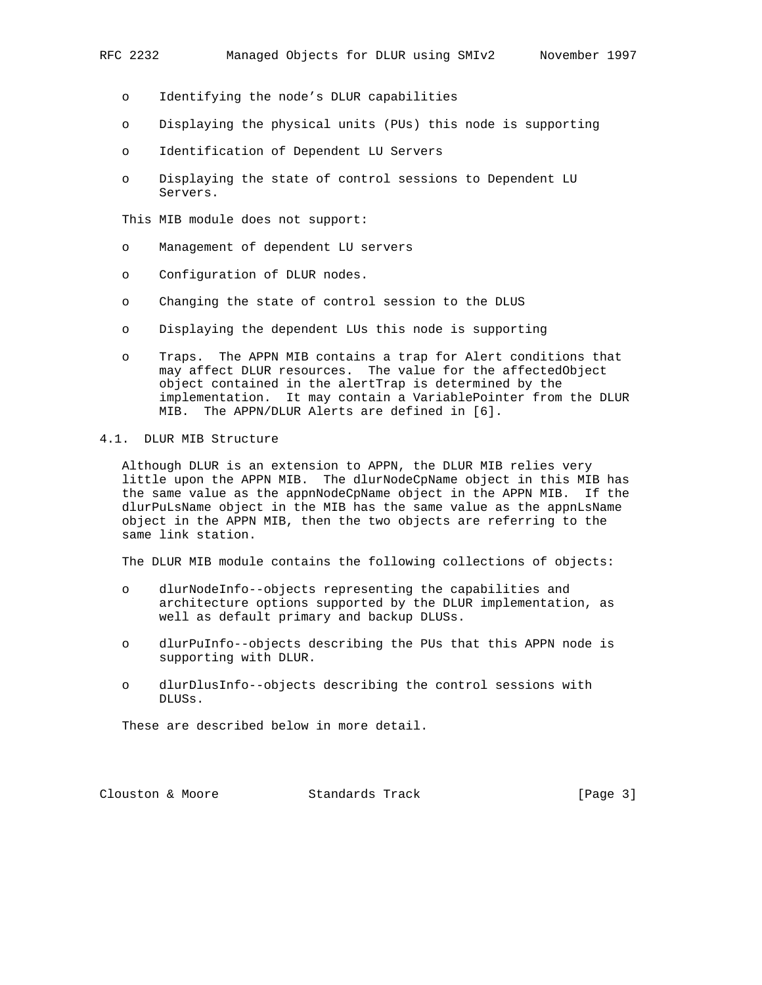- o Identifying the node's DLUR capabilities
- o Displaying the physical units (PUs) this node is supporting
- o Identification of Dependent LU Servers
- o Displaying the state of control sessions to Dependent LU Servers.

This MIB module does not support:

- o Management of dependent LU servers
- o Configuration of DLUR nodes.
- o Changing the state of control session to the DLUS
- o Displaying the dependent LUs this node is supporting
- o Traps. The APPN MIB contains a trap for Alert conditions that may affect DLUR resources. The value for the affectedObject object contained in the alertTrap is determined by the implementation. It may contain a VariablePointer from the DLUR MIB. The APPN/DLUR Alerts are defined in [6].

### 4.1. DLUR MIB Structure

 Although DLUR is an extension to APPN, the DLUR MIB relies very little upon the APPN MIB. The dlurNodeCpName object in this MIB has the same value as the appnNodeCpName object in the APPN MIB. If the dlurPuLsName object in the MIB has the same value as the appnLsName object in the APPN MIB, then the two objects are referring to the same link station.

The DLUR MIB module contains the following collections of objects:

- o dlurNodeInfo--objects representing the capabilities and architecture options supported by the DLUR implementation, as well as default primary and backup DLUSs.
- o dlurPuInfo--objects describing the PUs that this APPN node is supporting with DLUR.
- o dlurDlusInfo--objects describing the control sessions with DLUSs.

These are described below in more detail.

Clouston & Moore 6 Standards Track [Page 3]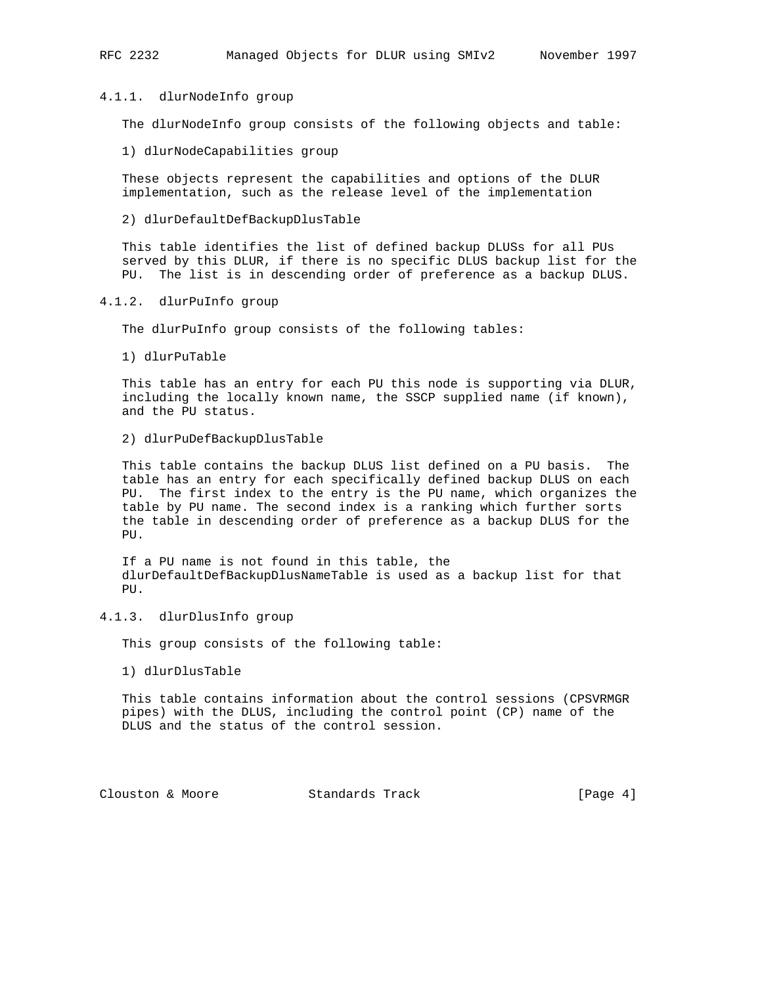#### 4.1.1. dlurNodeInfo group

The dlurNodeInfo group consists of the following objects and table:

1) dlurNodeCapabilities group

 These objects represent the capabilities and options of the DLUR implementation, such as the release level of the implementation

### 2) dlurDefaultDefBackupDlusTable

 This table identifies the list of defined backup DLUSs for all PUs served by this DLUR, if there is no specific DLUS backup list for the PU. The list is in descending order of preference as a backup DLUS.

### 4.1.2. dlurPuInfo group

The dlurPuInfo group consists of the following tables:

1) dlurPuTable

 This table has an entry for each PU this node is supporting via DLUR, including the locally known name, the SSCP supplied name (if known), and the PU status.

#### 2) dlurPuDefBackupDlusTable

 This table contains the backup DLUS list defined on a PU basis. The table has an entry for each specifically defined backup DLUS on each PU. The first index to the entry is the PU name, which organizes the table by PU name. The second index is a ranking which further sorts the table in descending order of preference as a backup DLUS for the PU.

 If a PU name is not found in this table, the dlurDefaultDefBackupDlusNameTable is used as a backup list for that PU.

# 4.1.3. dlurDlusInfo group

This group consists of the following table:

1) dlurDlusTable

 This table contains information about the control sessions (CPSVRMGR pipes) with the DLUS, including the control point (CP) name of the DLUS and the status of the control session.

Clouston & Moore 6 (Page 4)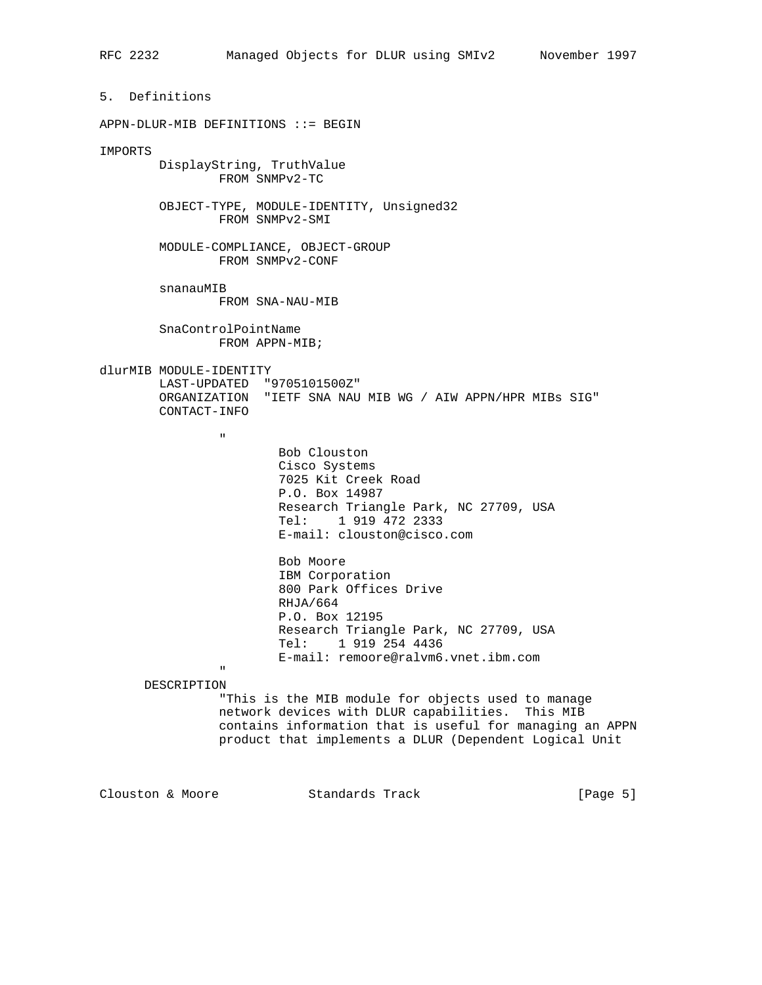5. Definitions APPN-DLUR-MIB DEFINITIONS ::= BEGIN IMPORTS DisplayString, TruthValue FROM SNMPv2-TC OBJECT-TYPE, MODULE-IDENTITY, Unsigned32 FROM SNMPv2-SMI MODULE-COMPLIANCE, OBJECT-GROUP FROM SNMPv2-CONF snanauMIB FROM SNA-NAU-MIB SnaControlPointName FROM APPN-MIB; dlurMIB MODULE-IDENTITY LAST-UPDATED "9705101500Z" ORGANIZATION "IETF SNA NAU MIB WG / AIW APPN/HPR MIBs SIG" CONTACT-INFO " "The contract of the contract of the contract of the contract of the contract of the contract of the contract of the contract of the contract of the contract of the contract of the contract of the contract of the contrac Bob Clouston Cisco Systems 7025 Kit Creek Road P.O. Box 14987 Research Triangle Park, NC 27709, USA Tel: 1 919 472 2333 E-mail: clouston@cisco.com Bob Moore IBM Corporation 800 Park Offices Drive RHJA/664 P.O. Box 12195 Research Triangle Park, NC 27709, USA Tel: 1 919 254 4436 E-mail: remoore@ralvm6.vnet.ibm.com " "The contract of the contract of the contract of the contract of the contract of the contract of the contract of the contract of the contract of the contract of the contract of the contract of the contract of the contrac DESCRIPTION "This is the MIB module for objects used to manage network devices with DLUR capabilities. This MIB contains information that is useful for managing an APPN product that implements a DLUR (Dependent Logical Unit

Clouston & Moore 6 (Page 5)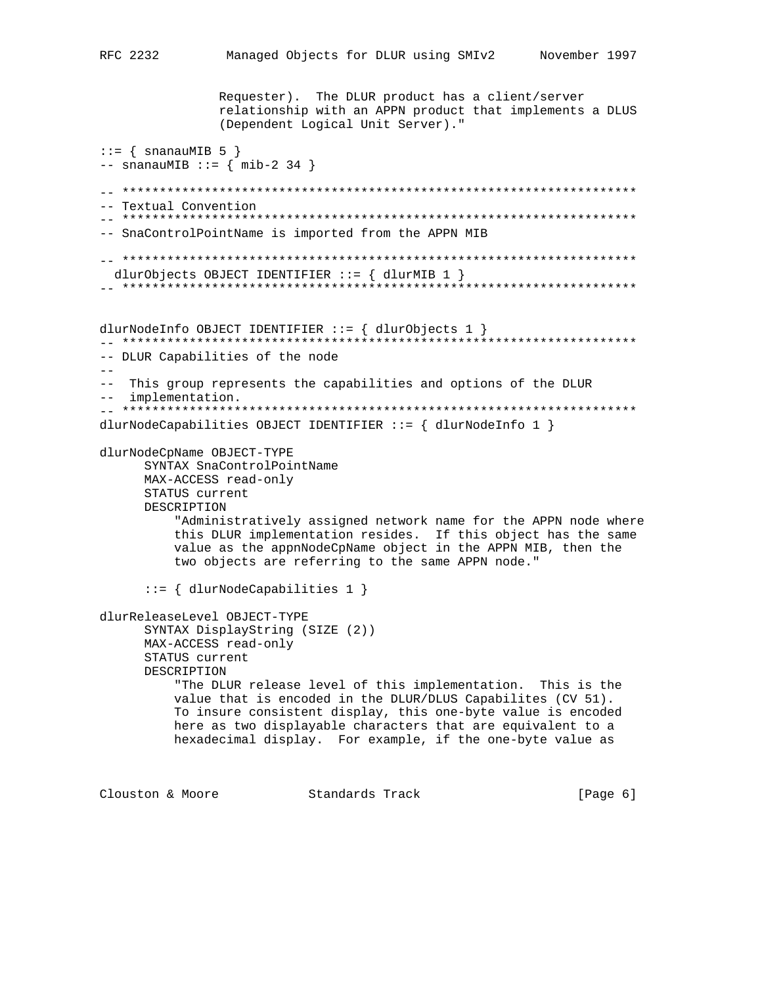Requester). The DLUR product has a client/server relationship with an APPN product that implements a DLUS (Dependent Logical Unit Server)."  $::=$  { snanauMIB 5 }  $--$  snanauMIB  $::=$   $\{$  mib-2 34  $\}$ -- \*\*\*\*\*\*\*\*\*\*\*\*\*\*\*\*\*\*\*\*\*\*\*\*\*\*\*\*\*\*\*\*\*\*\*\*\*\*\*\*\*\*\*\*\*\*\*\*\*\*\*\*\*\*\*\*\*\*\*\*\*\*\*\*\*\*\*\*\* -- Textual Convention -- \*\*\*\*\*\*\*\*\*\*\*\*\*\*\*\*\*\*\*\*\*\*\*\*\*\*\*\*\*\*\*\*\*\*\*\*\*\*\*\*\*\*\*\*\*\*\*\*\*\*\*\*\*\*\*\*\*\*\*\*\*\*\*\*\*\*\*\*\* -- SnaControlPointName is imported from the APPN MIB -- \*\*\*\*\*\*\*\*\*\*\*\*\*\*\*\*\*\*\*\*\*\*\*\*\*\*\*\*\*\*\*\*\*\*\*\*\*\*\*\*\*\*\*\*\*\*\*\*\*\*\*\*\*\*\*\*\*\*\*\*\*\*\*\*\*\*\*\*\* dlurObjects OBJECT IDENTIFIER ::= { dlurMIB 1 } -- \*\*\*\*\*\*\*\*\*\*\*\*\*\*\*\*\*\*\*\*\*\*\*\*\*\*\*\*\*\*\*\*\*\*\*\*\*\*\*\*\*\*\*\*\*\*\*\*\*\*\*\*\*\*\*\*\*\*\*\*\*\*\*\*\*\*\*\*\* dlurNodeInfo OBJECT IDENTIFIER ::= { dlurObjects 1 } -- \*\*\*\*\*\*\*\*\*\*\*\*\*\*\*\*\*\*\*\*\*\*\*\*\*\*\*\*\*\*\*\*\*\*\*\*\*\*\*\*\*\*\*\*\*\*\*\*\*\*\*\*\*\*\*\*\*\*\*\*\*\*\*\*\*\*\*\*\* -- DLUR Capabilities of the node  $- -$ -- This group represents the capabilities and options of the DLUR -- implementation. -- \*\*\*\*\*\*\*\*\*\*\*\*\*\*\*\*\*\*\*\*\*\*\*\*\*\*\*\*\*\*\*\*\*\*\*\*\*\*\*\*\*\*\*\*\*\*\*\*\*\*\*\*\*\*\*\*\*\*\*\*\*\*\*\*\*\*\*\*\* dlurNodeCapabilities OBJECT IDENTIFIER ::= { dlurNodeInfo 1 } dlurNodeCpName OBJECT-TYPE SYNTAX SnaControlPointName MAX-ACCESS read-only STATUS current DESCRIPTION "Administratively assigned network name for the APPN node where this DLUR implementation resides. If this object has the same value as the appnNodeCpName object in the APPN MIB, then the two objects are referring to the same APPN node." ::= { dlurNodeCapabilities 1 } dlurReleaseLevel OBJECT-TYPE SYNTAX DisplayString (SIZE (2)) MAX-ACCESS read-only STATUS current DESCRIPTION "The DLUR release level of this implementation. This is the value that is encoded in the DLUR/DLUS Capabilites (CV 51). To insure consistent display, this one-byte value is encoded here as two displayable characters that are equivalent to a hexadecimal display. For example, if the one-byte value as

Clouston & Moore 6 (Page 6)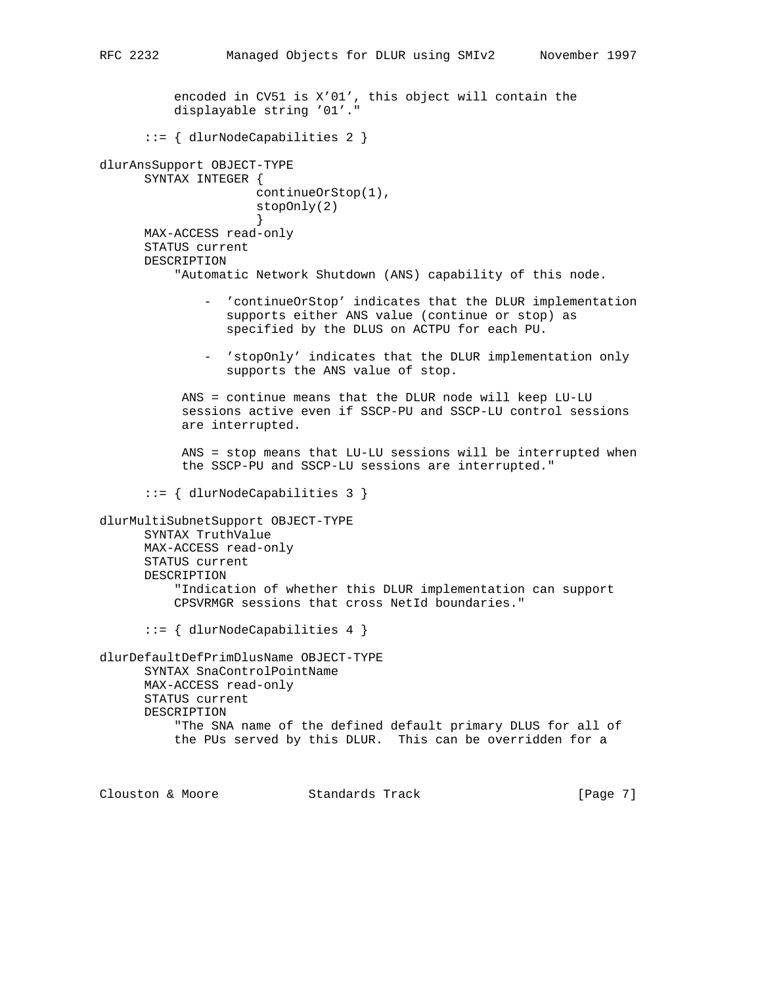encoded in CV51 is X'01', this object will contain the displayable string '01'." ::= { dlurNodeCapabilities 2 } dlurAnsSupport OBJECT-TYPE SYNTAX INTEGER { continueOrStop(1), stopOnly(2) } MAX-ACCESS read-only STATUS current DESCRIPTION "Automatic Network Shutdown (ANS) capability of this node. - 'continueOrStop' indicates that the DLUR implementation supports either ANS value (continue or stop) as specified by the DLUS on ACTPU for each PU. - 'stopOnly' indicates that the DLUR implementation only supports the ANS value of stop. ANS = continue means that the DLUR node will keep LU-LU sessions active even if SSCP-PU and SSCP-LU control sessions are interrupted. ANS = stop means that LU-LU sessions will be interrupted when the SSCP-PU and SSCP-LU sessions are interrupted." ::= { dlurNodeCapabilities 3 } dlurMultiSubnetSupport OBJECT-TYPE SYNTAX TruthValue MAX-ACCESS read-only STATUS current DESCRIPTION "Indication of whether this DLUR implementation can support CPSVRMGR sessions that cross NetId boundaries."

::= { dlurNodeCapabilities 4 }

dlurDefaultDefPrimDlusName OBJECT-TYPE SYNTAX SnaControlPointName MAX-ACCESS read-only STATUS current DESCRIPTION "The SNA name of the defined default primary DLUS for all of the PUs served by this DLUR. This can be overridden for a

Clouston & Moore 6 (Page 7)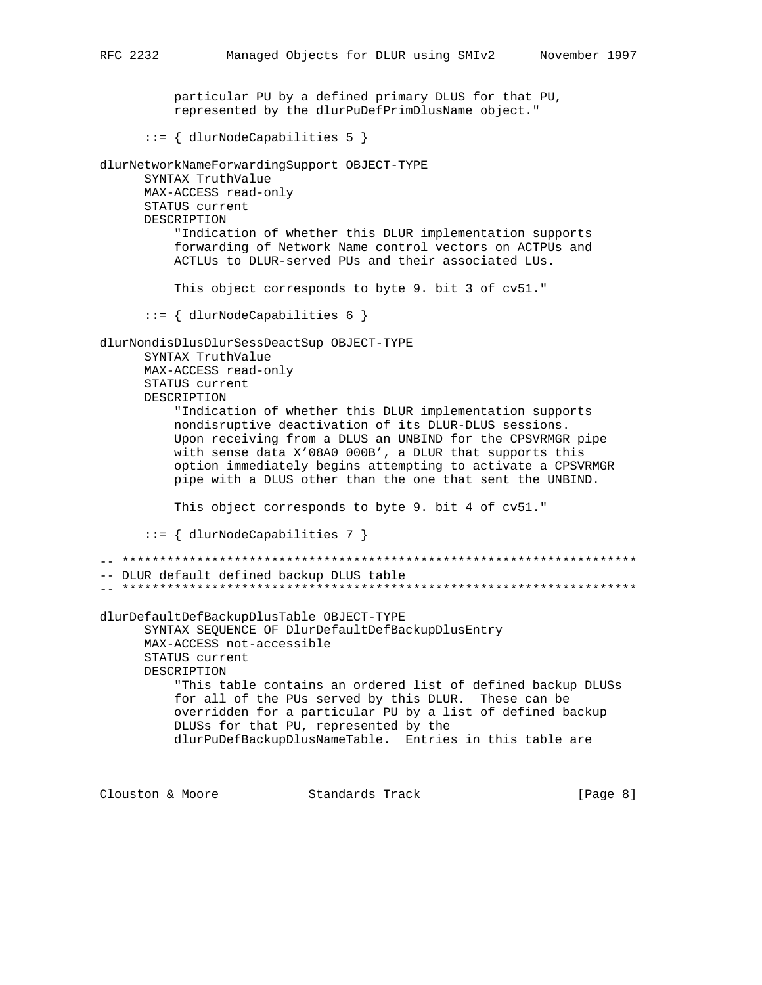particular PU by a defined primary DLUS for that PU, represented by the dlurPuDefPrimDlusName object."

::= { dlurNodeCapabilities 5 }

dlurNetworkNameForwardingSupport OBJECT-TYPE SYNTAX TruthValue MAX-ACCESS read-only STATUS current DESCRIPTION "Indication of whether this DLUR implementation supports forwarding of Network Name control vectors on ACTPUs and ACTLUs to DLUR-served PUs and their associated LUs. This object corresponds to byte 9. bit 3 of cv51." ::= { dlurNodeCapabilities 6 } dlurNondisDlusDlurSessDeactSup OBJECT-TYPE SYNTAX TruthValue MAX-ACCESS read-only STATUS current DESCRIPTION "Indication of whether this DLUR implementation supports nondisruptive deactivation of its DLUR-DLUS sessions. Upon receiving from a DLUS an UNBIND for the CPSVRMGR pipe with sense data X'08A0 000B', a DLUR that supports this option immediately begins attempting to activate a CPSVRMGR pipe with a DLUS other than the one that sent the UNBIND. This object corresponds to byte 9. bit 4 of cv51." ::= { dlurNodeCapabilities 7 } -- \*\*\*\*\*\*\*\*\*\*\*\*\*\*\*\*\*\*\*\*\*\*\*\*\*\*\*\*\*\*\*\*\*\*\*\*\*\*\*\*\*\*\*\*\*\*\*\*\*\*\*\*\*\*\*\*\*\*\*\*\*\*\*\*\*\*\*\*\* -- DLUR default defined backup DLUS table -- \*\*\*\*\*\*\*\*\*\*\*\*\*\*\*\*\*\*\*\*\*\*\*\*\*\*\*\*\*\*\*\*\*\*\*\*\*\*\*\*\*\*\*\*\*\*\*\*\*\*\*\*\*\*\*\*\*\*\*\*\*\*\*\*\*\*\*\*\* dlurDefaultDefBackupDlusTable OBJECT-TYPE SYNTAX SEQUENCE OF DlurDefaultDefBackupDlusEntry MAX-ACCESS not-accessible STATUS current DESCRIPTION "This table contains an ordered list of defined backup DLUSs for all of the PUs served by this DLUR. These can be overridden for a particular PU by a list of defined backup DLUSs for that PU, represented by the dlurPuDefBackupDlusNameTable. Entries in this table are

Clouston & Moore 6 (Page 8)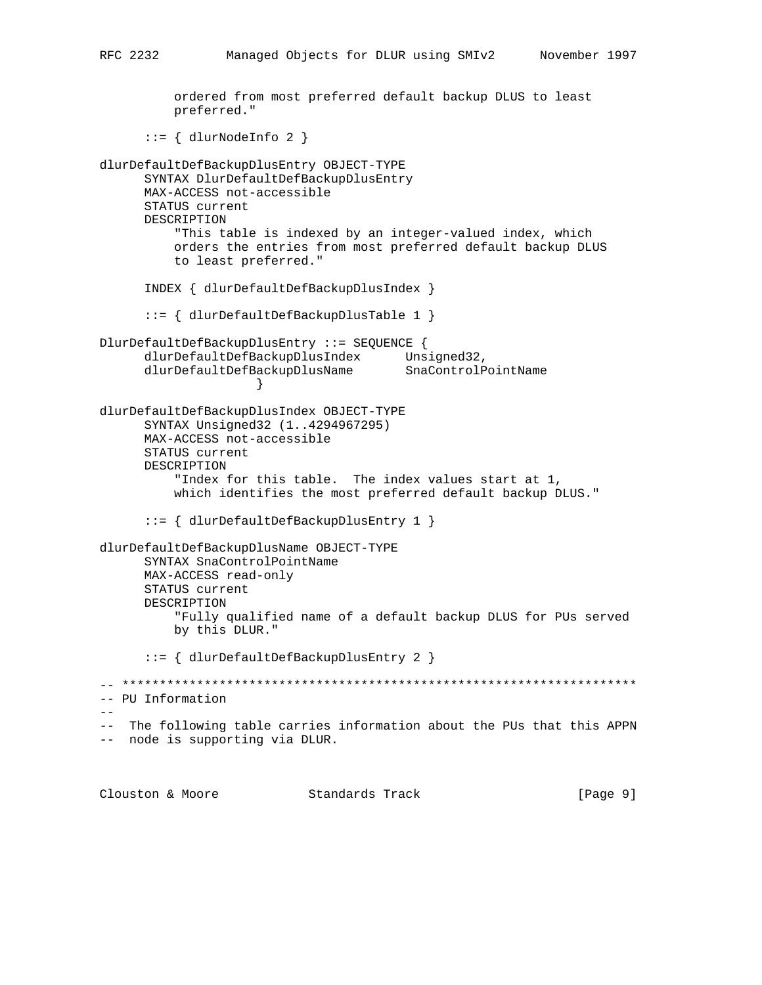ordered from most preferred default backup DLUS to least preferred."  $::=$  { dlurNodeInfo 2 } dlurDefaultDefBackupDlusEntry OBJECT-TYPE SYNTAX DlurDefaultDefBackupDlusEntry MAX-ACCESS not-accessible STATUS current DESCRIPTION "This table is indexed by an integer-valued index, which orders the entries from most preferred default backup DLUS to least preferred." INDEX { dlurDefaultDefBackupDlusIndex } ::= { dlurDefaultDefBackupDlusTable 1 } DlurDefaultDefBackupDlusEntry ::= SEQUENCE { dlurDefaultDefBackupDlusIndex Unsigned32, dlurDefaultDefBackupDlusName SnaControlPointName } dlurDefaultDefBackupDlusIndex OBJECT-TYPE SYNTAX Unsigned32 (1..4294967295) MAX-ACCESS not-accessible STATUS current DESCRIPTION "Index for this table. The index values start at 1, which identifies the most preferred default backup DLUS." ::= { dlurDefaultDefBackupDlusEntry 1 } dlurDefaultDefBackupDlusName OBJECT-TYPE SYNTAX SnaControlPointName MAX-ACCESS read-only STATUS current DESCRIPTION "Fully qualified name of a default backup DLUS for PUs served by this DLUR." ::= { dlurDefaultDefBackupDlusEntry 2 } -- \*\*\*\*\*\*\*\*\*\*\*\*\*\*\*\*\*\*\*\*\*\*\*\*\*\*\*\*\*\*\*\*\*\*\*\*\*\*\*\*\*\*\*\*\*\*\*\*\*\*\*\*\*\*\*\*\*\*\*\*\*\*\*\*\*\*\*\*\* -- PU Information -- -- The following table carries information about the PUs that this APPN -- node is supporting via DLUR.

Clouston & Moore 6 (Page 9)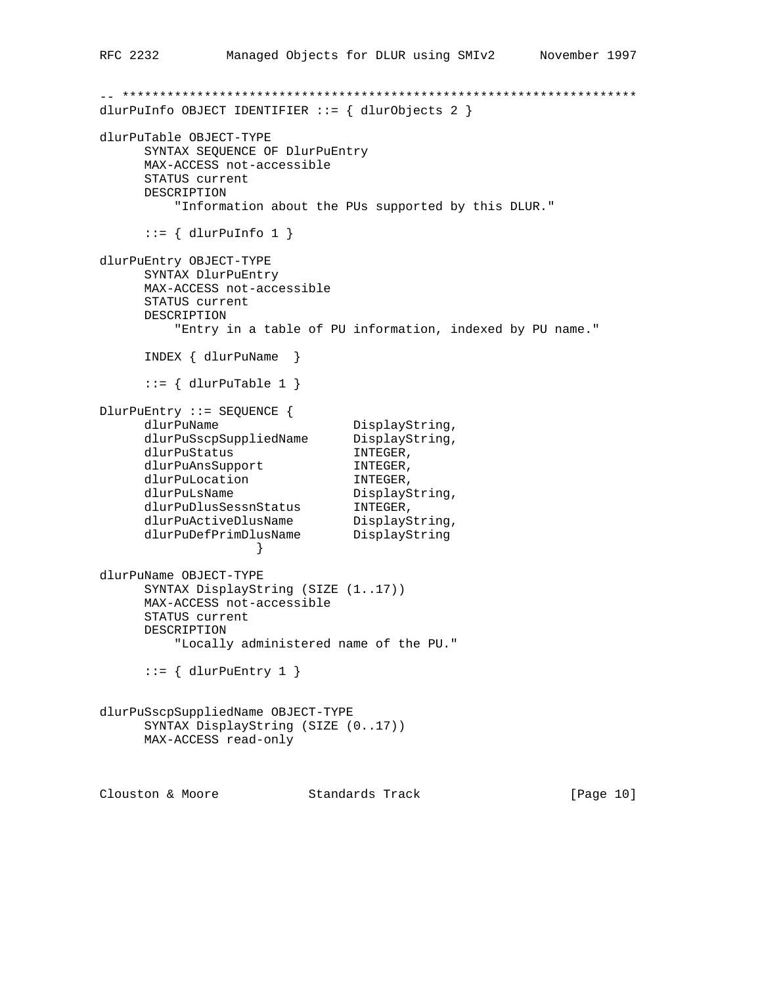```
-- *********************************************************************
dlurPuInfo OBJECT IDENTIFIER ::= { dlurObjects 2 }
dlurPuTable OBJECT-TYPE
      SYNTAX SEQUENCE OF DlurPuEntry
      MAX-ACCESS not-accessible
      STATUS current
      DESCRIPTION
          "Information about the PUs supported by this DLUR."
     ::= { dlurPuInfo 1 }
dlurPuEntry OBJECT-TYPE
      SYNTAX DlurPuEntry
      MAX-ACCESS not-accessible
      STATUS current
      DESCRIPTION
         "Entry in a table of PU information, indexed by PU name."
      INDEX { dlurPuName }
     ::= { dlurPuTable 1 }
DlurPuEntry ::= SEQUENCE {
dlurPuName DisplayString,
 dlurPuSscpSuppliedName DisplayString,
dlurPuStatus INTEGER,
dlurPuAnsSupport INTEGER,
dlurPuLocation INTEGER,
dlurPuLsName DisplayString,
 dlurPuDlusSessnStatus INTEGER,
dlurPuActiveDlusName DisplayString,
 dlurPuDefPrimDlusName DisplayString
 }
dlurPuName OBJECT-TYPE
      SYNTAX DisplayString (SIZE (1..17))
      MAX-ACCESS not-accessible
      STATUS current
      DESCRIPTION
         "Locally administered name of the PU."
     ::= { dlurPuEntry 1 }
dlurPuSscpSuppliedName OBJECT-TYPE
      SYNTAX DisplayString (SIZE (0..17))
      MAX-ACCESS read-only
Clouston & Moore Standards Track [Page 10]
```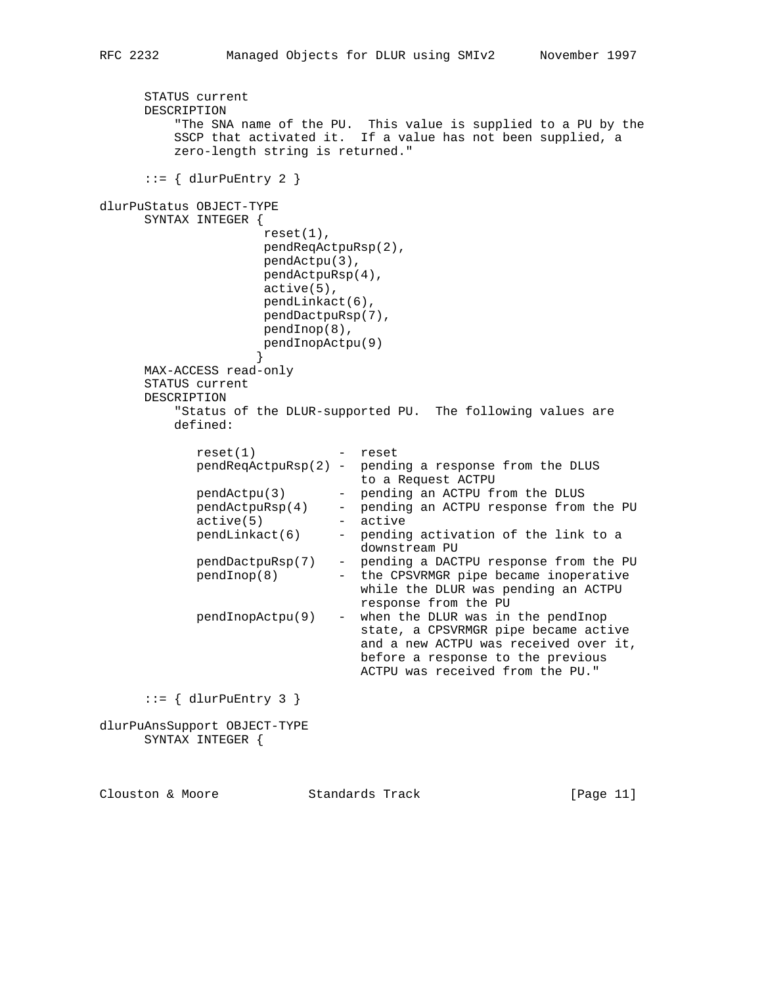```
 STATUS current
      DESCRIPTION
          "The SNA name of the PU. This value is supplied to a PU by the
          SSCP that activated it. If a value has not been supplied, a
          zero-length string is returned."
     ::= \{ \text{dlurPukntry } 2 \}dlurPuStatus OBJECT-TYPE
      SYNTAX INTEGER {
                      reset(1),
                      pendReqActpuRsp(2),
                      pendActpu(3),
                      pendActpuRsp(4),
                      active(5),
                      pendLinkact(6),
                      pendDactpuRsp(7),
                     pendInop(8),
                     pendInopActpu(9)
 }
      MAX-ACCESS read-only
      STATUS current
      DESCRIPTION
          "Status of the DLUR-supported PU. The following values are
          defined:
             reset(1) - reset
             pendReqActpuRsp(2) - pending a response from the DLUS
                                 to a Request ACTPU
             pendActpu(3) - pending an ACTPU from the DLUS
             pendActpuRsp(4) - pending an ACTPU response from the PU
 active(5) - active
 pendLinkact(6) - pending activation of the link to a
                                  downstream PU
             pendDactpuRsp(7) - pending a DACTPU response from the PU
             pendInop(8) - the CPSVRMGR pipe became inoperative
                                  while the DLUR was pending an ACTPU
                                  response from the PU
            pendInophctpu(9) - when the DLUR was in the pendInop
                                  state, a CPSVRMGR pipe became active
                                  and a new ACTPU was received over it,
                                  before a response to the previous
                                  ACTPU was received from the PU."
     ::= { dlurPuEntry 3 }
dlurPuAnsSupport OBJECT-TYPE
      SYNTAX INTEGER {
```
Clouston & Moore Standards Track [Page 11]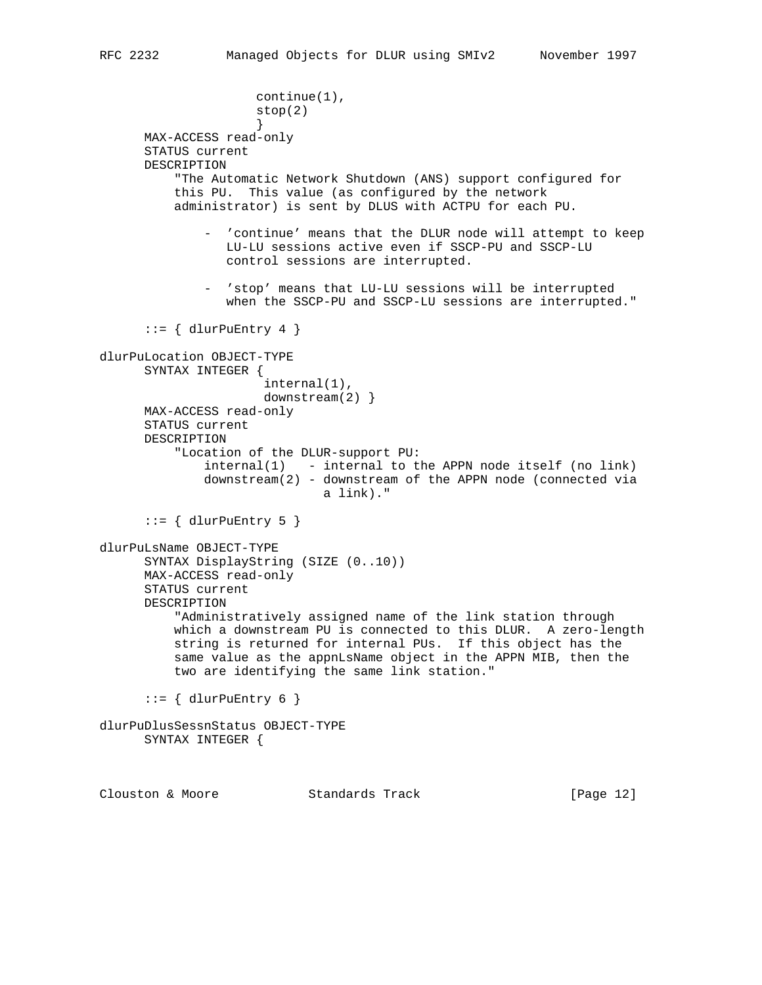```
 continue(1),
                     stop(2)
 }
      MAX-ACCESS read-only
      STATUS current
      DESCRIPTION
          "The Automatic Network Shutdown (ANS) support configured for
          this PU. This value (as configured by the network
          administrator) is sent by DLUS with ACTPU for each PU.
              - 'continue' means that the DLUR node will attempt to keep
                 LU-LU sessions active even if SSCP-PU and SSCP-LU
                 control sessions are interrupted.
              - 'stop' means that LU-LU sessions will be interrupted
                 when the SSCP-PU and SSCP-LU sessions are interrupted."
      ::= { dlurPuEntry 4 }
dlurPuLocation OBJECT-TYPE
      SYNTAX INTEGER {
                      internal(1),
                     downstream(2)}
      MAX-ACCESS read-only
      STATUS current
      DESCRIPTION
           "Location of the DLUR-support PU:
             interval(1) - internal to the APPN node itself (no link)
              downstream(2) - downstream of the APPN node (connected via
                             a link)."
     ::= { dlurPuEntry 5 }
dlurPuLsName OBJECT-TYPE
      SYNTAX DisplayString (SIZE (0..10))
      MAX-ACCESS read-only
      STATUS current
      DESCRIPTION
          "Administratively assigned name of the link station through
          which a downstream PU is connected to this DLUR. A zero-length
          string is returned for internal PUs. If this object has the
          same value as the appnLsName object in the APPN MIB, then the
          two are identifying the same link station."
      ::= { dlurPuEntry 6 }
dlurPuDlusSessnStatus OBJECT-TYPE
      SYNTAX INTEGER {
Clouston & Moore Standards Track [Page 12]
```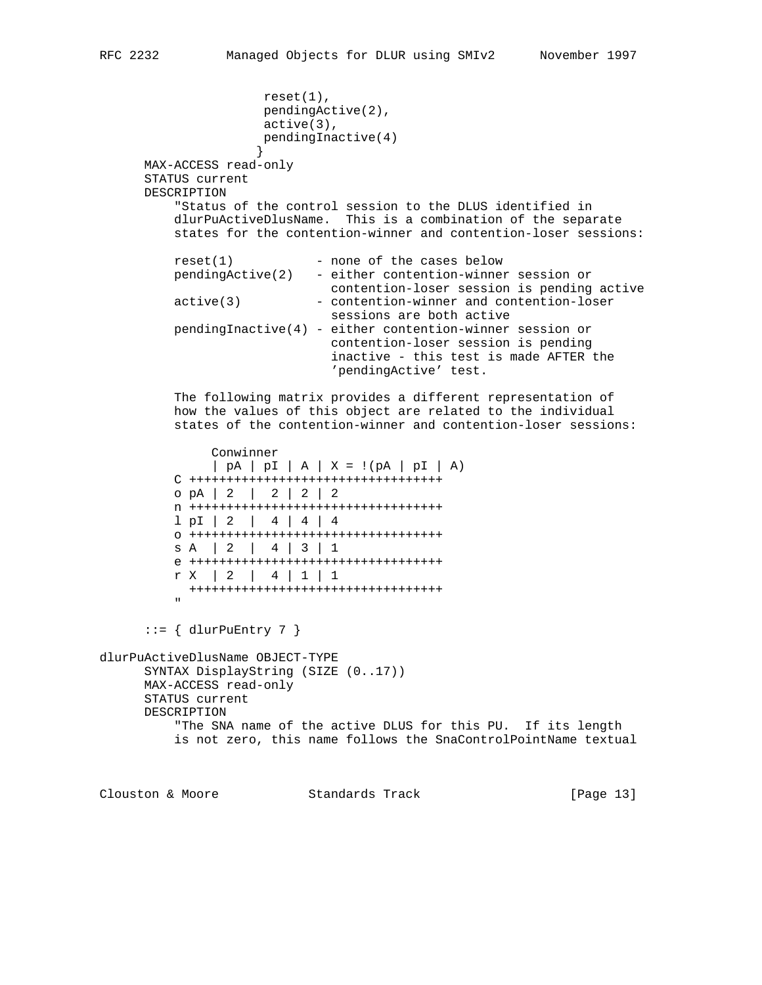```
 reset(1),
                          pendingActive(2),
                          active(3),
                          pendingInactive(4)
 }
       MAX-ACCESS read-only
       STATUS current
       DESCRIPTION
            "Status of the control session to the DLUS identified in
            dlurPuActiveDlusName. This is a combination of the separate
            states for the contention-winner and contention-loser sessions:
           reset(1) - none of the cases below
            pendingActive(2) - either contention-winner session or
                                   contention-loser session is pending active
            active(3) - contention-winner and contention-loser
                                   sessions are both active
            pendingInactive(4) - either contention-winner session or
                                    contention-loser session is pending
                                    inactive - this test is made AFTER the
                                    'pendingActive' test.
            The following matrix provides a different representation of
            how the values of this object are related to the individual
            states of the contention-winner and contention-loser sessions:
                  Conwinner
                  | pA | pI | A | X = !(pA | pI | A)
            C ++++++++++++++++++++++++++++++++++
            o pA | 2 | 2 | 2 | 2
            n ++++++++++++++++++++++++++++++++++
            l pI | 2 | 4 | 4 | 4
            o ++++++++++++++++++++++++++++++++++
            s A | 2 | 4 | 3 | 1
            e ++++++++++++++++++++++++++++++++++
            r X | 2 | 4 | 1 | 1
              ++++++++++++++++++++++++++++++++++
" "The Contract of the Contract of the Contract of the Contract of the Contract of the Contract of the Contract of the Contract of the Contract of the Contract of the Contract of the Contract of the Contract of the Contrac
       ::= { dlurPuEntry 7 }
dlurPuActiveDlusName OBJECT-TYPE
       SYNTAX DisplayString (SIZE (0..17))
       MAX-ACCESS read-only
       STATUS current
       DESCRIPTION
            "The SNA name of the active DLUS for this PU. If its length
            is not zero, this name follows the SnaControlPointName textual
```
Clouston & Moore Standards Track [Page 13]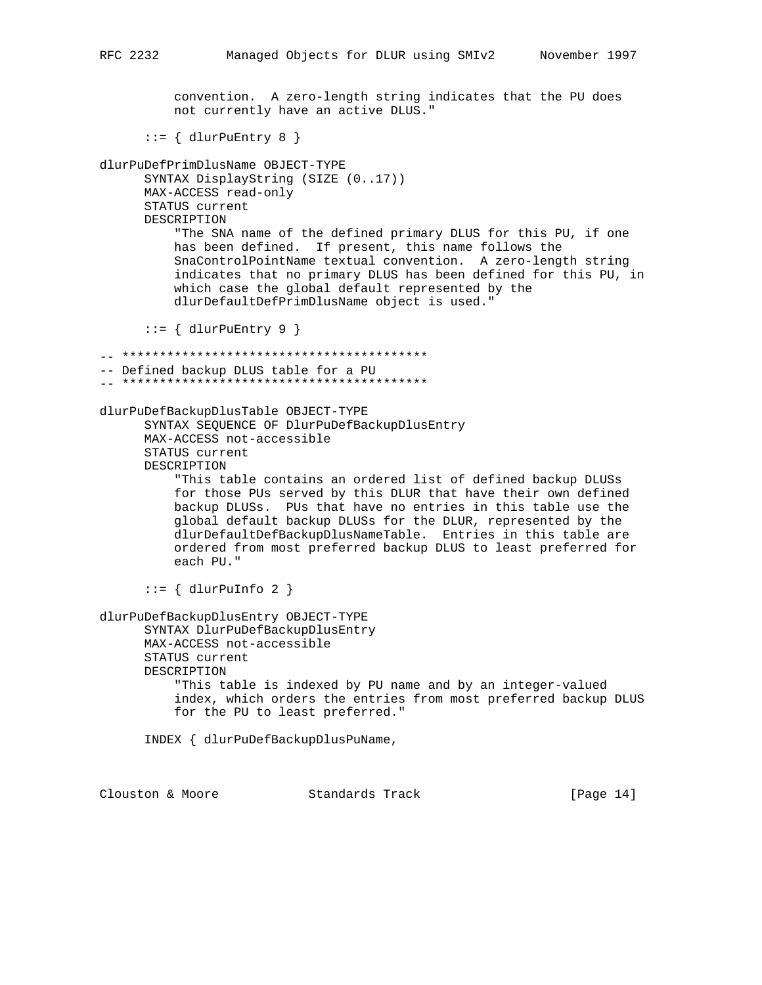convention. A zero-length string indicates that the PU does not currently have an active DLUS." ::= { dlurPuEntry 8 } dlurPuDefPrimDlusName OBJECT-TYPE SYNTAX DisplayString (SIZE (0..17)) MAX-ACCESS read-only STATUS current DESCRIPTION "The SNA name of the defined primary DLUS for this PU, if one has been defined. If present, this name follows the SnaControlPointName textual convention. A zero-length string indicates that no primary DLUS has been defined for this PU, in which case the global default represented by the dlurDefaultDefPrimDlusName object is used."  $::=$  { dlurPuEntry 9 } -- \*\*\*\*\*\*\*\*\*\*\*\*\*\*\*\*\*\*\*\*\*\*\*\*\*\*\*\*\*\*\*\*\*\*\*\*\*\*\*\*\* -- Defined backup DLUS table for a PU -- \*\*\*\*\*\*\*\*\*\*\*\*\*\*\*\*\*\*\*\*\*\*\*\*\*\*\*\*\*\*\*\*\*\*\*\*\*\*\*\*\* dlurPuDefBackupDlusTable OBJECT-TYPE SYNTAX SEQUENCE OF DlurPuDefBackupDlusEntry MAX-ACCESS not-accessible STATUS current DESCRIPTION "This table contains an ordered list of defined backup DLUSs for those PUs served by this DLUR that have their own defined backup DLUSs. PUs that have no entries in this table use the global default backup DLUSs for the DLUR, represented by the dlurDefaultDefBackupDlusNameTable. Entries in this table are ordered from most preferred backup DLUS to least preferred for each PU."  $::=$  { dlurPuInfo 2 } dlurPuDefBackupDlusEntry OBJECT-TYPE SYNTAX DlurPuDefBackupDlusEntry MAX-ACCESS not-accessible STATUS current DESCRIPTION "This table is indexed by PU name and by an integer-valued index, which orders the entries from most preferred backup DLUS for the PU to least preferred." INDEX { dlurPuDefBackupDlusPuName,

Clouston & Moore 6 Standards Track [Page 14]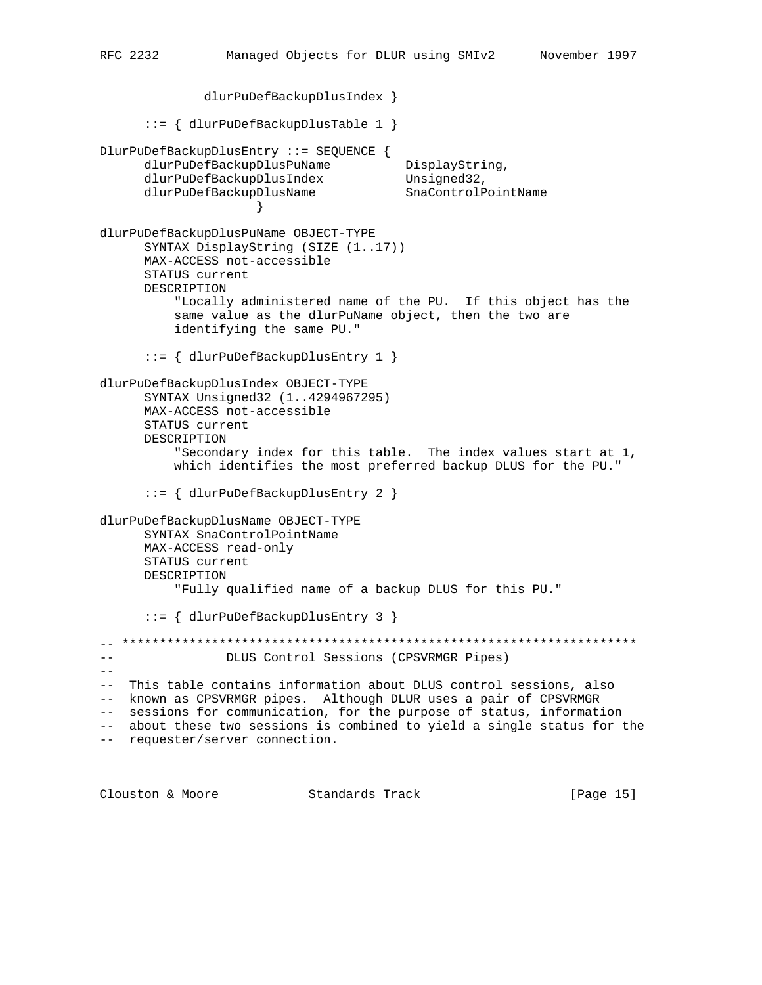dlurPuDefBackupDlusIndex } ::= { dlurPuDefBackupDlusTable 1 } DlurPuDefBackupDlusEntry ::= SEQUENCE { dlurPuDefBackupDlusPuName DisplayString, dlurPuDefBackupDlusIndex Unsigned32, dlurPuDefBackupDlusName SnaControlPointName } dlurPuDefBackupDlusPuName OBJECT-TYPE SYNTAX DisplayString (SIZE (1..17)) MAX-ACCESS not-accessible STATUS current DESCRIPTION "Locally administered name of the PU. If this object has the same value as the dlurPuName object, then the two are identifying the same PU." ::= { dlurPuDefBackupDlusEntry 1 } dlurPuDefBackupDlusIndex OBJECT-TYPE SYNTAX Unsigned32 (1..4294967295) MAX-ACCESS not-accessible STATUS current DESCRIPTION "Secondary index for this table. The index values start at 1, which identifies the most preferred backup DLUS for the PU." ::= { dlurPuDefBackupDlusEntry 2 } dlurPuDefBackupDlusName OBJECT-TYPE SYNTAX SnaControlPointName MAX-ACCESS read-only STATUS current DESCRIPTION "Fully qualified name of a backup DLUS for this PU." ::= { dlurPuDefBackupDlusEntry 3 } -- \*\*\*\*\*\*\*\*\*\*\*\*\*\*\*\*\*\*\*\*\*\*\*\*\*\*\*\*\*\*\*\*\*\*\*\*\*\*\*\*\*\*\*\*\*\*\*\*\*\*\*\*\*\*\*\*\*\*\*\*\*\*\*\*\*\*\*\*\* -- DLUS Control Sessions (CPSVRMGR Pipes)  $- -$ -- This table contains information about DLUS control sessions, also -- known as CPSVRMGR pipes. Although DLUR uses a pair of CPSVRMGR -- sessions for communication, for the purpose of status, information -- about these two sessions is combined to yield a single status for the -- requester/server connection.

Clouston & Moore Standards Track [Page 15]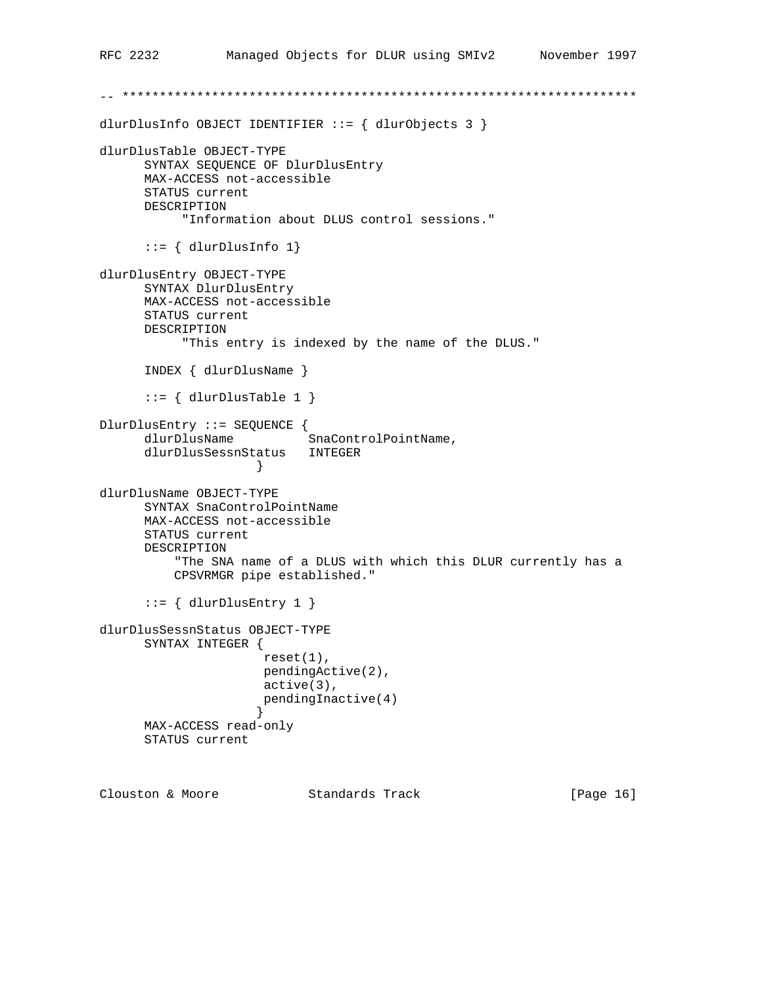```
-- *********************************************************************
dlurDlusInfo OBJECT IDENTIFIER ::= { dlurObjects 3 }
dlurDlusTable OBJECT-TYPE
      SYNTAX SEQUENCE OF DlurDlusEntry
      MAX-ACCESS not-accessible
      STATUS current
      DESCRIPTION
            "Information about DLUS control sessions."
       ::= { dlurDlusInfo 1}
dlurDlusEntry OBJECT-TYPE
       SYNTAX DlurDlusEntry
      MAX-ACCESS not-accessible
      STATUS current
      DESCRIPTION
            "This entry is indexed by the name of the DLUS."
       INDEX { dlurDlusName }
      ::= { dlurDlusTable 1 }
DlurDlusEntry ::= SEQUENCE {
dlurDlusName SnaControlPointName,
 dlurDlusSessnStatus INTEGER
 }
dlurDlusName OBJECT-TYPE
      SYNTAX SnaControlPointName
      MAX-ACCESS not-accessible
      STATUS current
      DESCRIPTION
           "The SNA name of a DLUS with which this DLUR currently has a
          CPSVRMGR pipe established."
      ::= { dlurDlusEntry 1 }
dlurDlusSessnStatus OBJECT-TYPE
      SYNTAX INTEGER {
                      reset(1),
                      pendingActive(2),
                      active(3),
                      pendingInactive(4)
 }
      MAX-ACCESS read-only
      STATUS current
```
Clouston & Moore Standards Track [Page 16]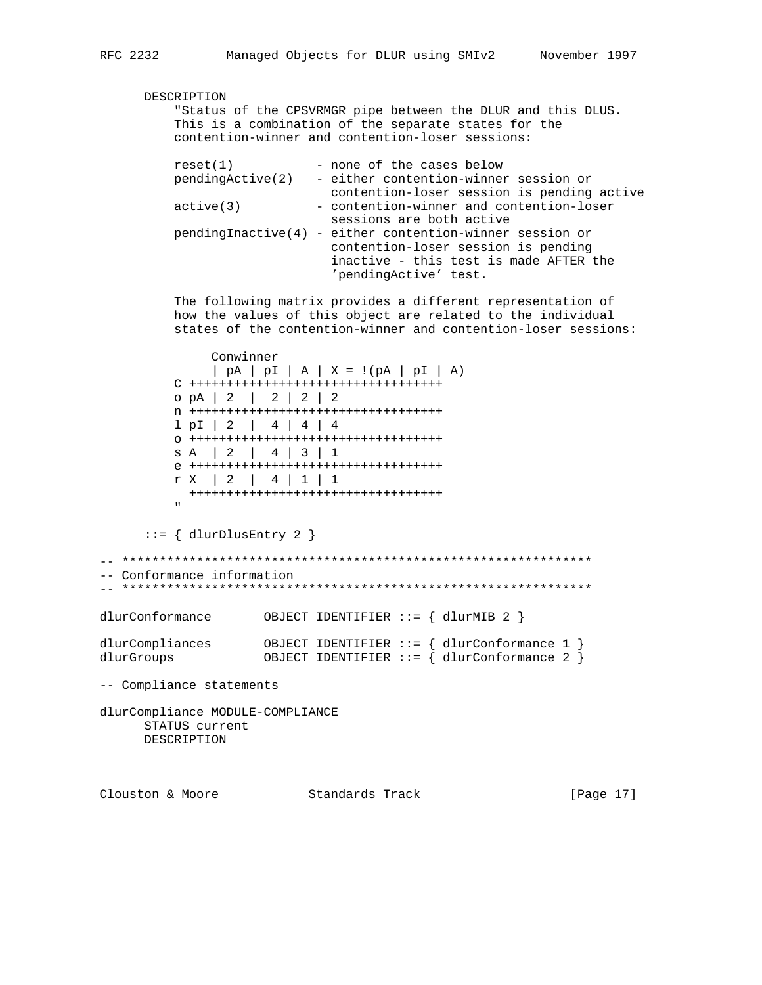DESCRIPTION

 "Status of the CPSVRMGR pipe between the DLUR and this DLUS. This is a combination of the separate states for the contention-winner and contention-loser sessions:  $reset(1)$  - none of the cases below pendingActive(2) - either contention-winner session or contention-loser session is pending active active(3) - contention-winner and contention-loser sessions are both active pendingInactive(4) - either contention-winner session or contention-loser session is pending inactive - this test is made AFTER the 'pendingActive' test. The following matrix provides a different representation of how the values of this object are related to the individual states of the contention-winner and contention-loser sessions: Conwinner | pA | pI | A | X = !(pA | pI | A) C ++++++++++++++++++++++++++++++++++ o pA | 2 | 2 | 2 | 2 n ++++++++++++++++++++++++++++++++++ l pI | 2 | 4 | 4 | 4 o ++++++++++++++++++++++++++++++++++ s A | 2 | 4 | 3 | 1 e ++++++++++++++++++++++++++++++++++ r X | 2 | 4 | 1 | 1 ++++++++++++++++++++++++++++++++++ " "The Contract of the Contract of the Contract of the Contract of the Contract of the Contract of the Contract of the Contract of the Contract of the Contract of the Contract of the Contract of the Contract of the Contrac  $::=$  { dlurDlusEntry 2 } -- \*\*\*\*\*\*\*\*\*\*\*\*\*\*\*\*\*\*\*\*\*\*\*\*\*\*\*\*\*\*\*\*\*\*\*\*\*\*\*\*\*\*\*\*\*\*\*\*\*\*\*\*\*\*\*\*\*\*\*\*\*\*\* -- Conformance information  $\hspace{1.3cm} - \hspace{1.3cm} - \hspace{1.3cm} - \hspace{1.3cm} - \hspace{1.3cm} - \hspace{1.3cm} - \hspace{1.3cm} - \hspace{1.3cm} - \hspace{1.3cm} - \hspace{1.3cm} - \hspace{1.3cm} - \hspace{1.3cm} - \hspace{1.3cm} - \hspace{1.3cm} - \hspace{1.3cm} - \hspace{1.3cm} - \hspace{1.3cm} - \hspace{1.3cm} - \hspace{1.3cm} - \hspace{1.3cm} - \hspace{1.3cm} - \hspace{1.3cm}$ dlurConformance OBJECT IDENTIFIER ::= { dlurMIB 2 } dlurCompliances OBJECT IDENTIFIER ::= { dlurConformance 1 } dlurGroups OBJECT IDENTIFIER ::= { dlurConformance 2 } -- Compliance statements dlurCompliance MODULE-COMPLIANCE STATUS current DESCRIPTION

Clouston & Moore Standards Track [Page 17]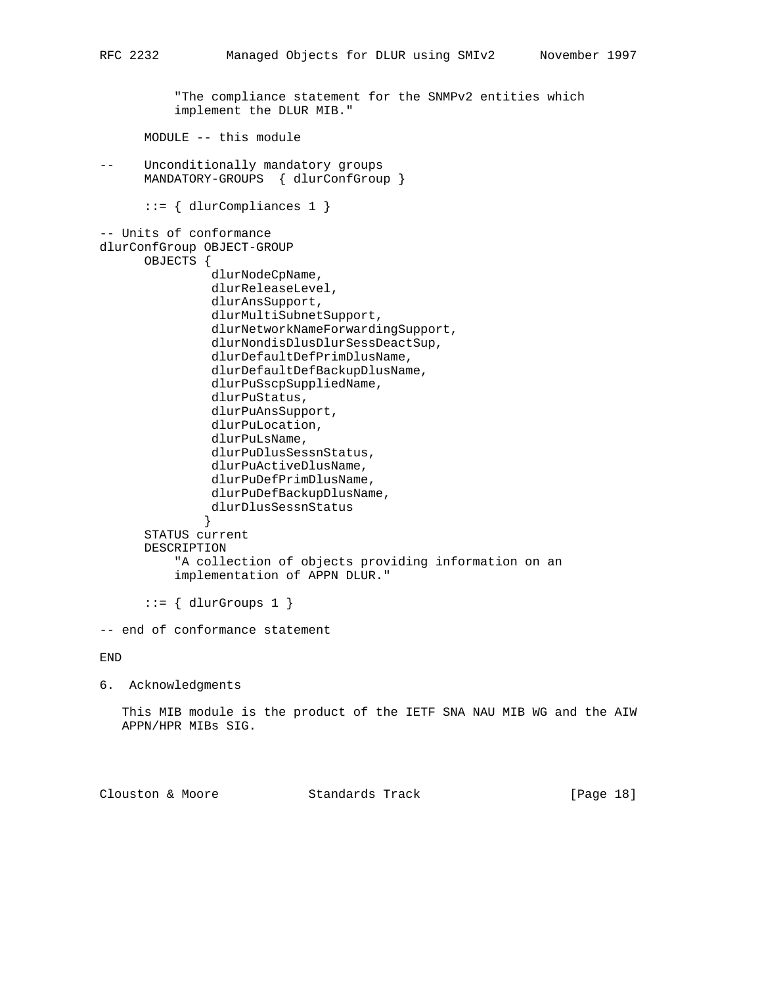"The compliance statement for the SNMPv2 entities which implement the DLUR MIB."

MODULE -- this module

-- Unconditionally mandatory groups MANDATORY-GROUPS { dlurConfGroup }

::= { dlurCompliances 1 }

```
-- Units of conformance
dlurConfGroup OBJECT-GROUP
       OBJECTS {
                dlurNodeCpName,
                 dlurReleaseLevel,
                 dlurAnsSupport,
                 dlurMultiSubnetSupport,
                 dlurNetworkNameForwardingSupport,
                 dlurNondisDlusDlurSessDeactSup,
                 dlurDefaultDefPrimDlusName,
                 dlurDefaultDefBackupDlusName,
                dlurPuSscpSuppliedName,
                dlurPuStatus,
                dlurPuAnsSupport,
                dlurPuLocation,
                 dlurPuLsName,
                dlurPuDlusSessnStatus,
                 dlurPuActiveDlusName,
                dlurPuDefPrimDlusName,
                dlurPuDefBackupDlusName,
```

```
 dlurDlusSessnStatus
 }
      STATUS current
      DESCRIPTION
          "A collection of objects providing information on an
          implementation of APPN DLUR."
```
 $::=$  { dlurGroups 1 }

-- end of conformance statement

END

6. Acknowledgments

 This MIB module is the product of the IETF SNA NAU MIB WG and the AIW APPN/HPR MIBs SIG.

Clouston & Moore Standards Track [Page 18]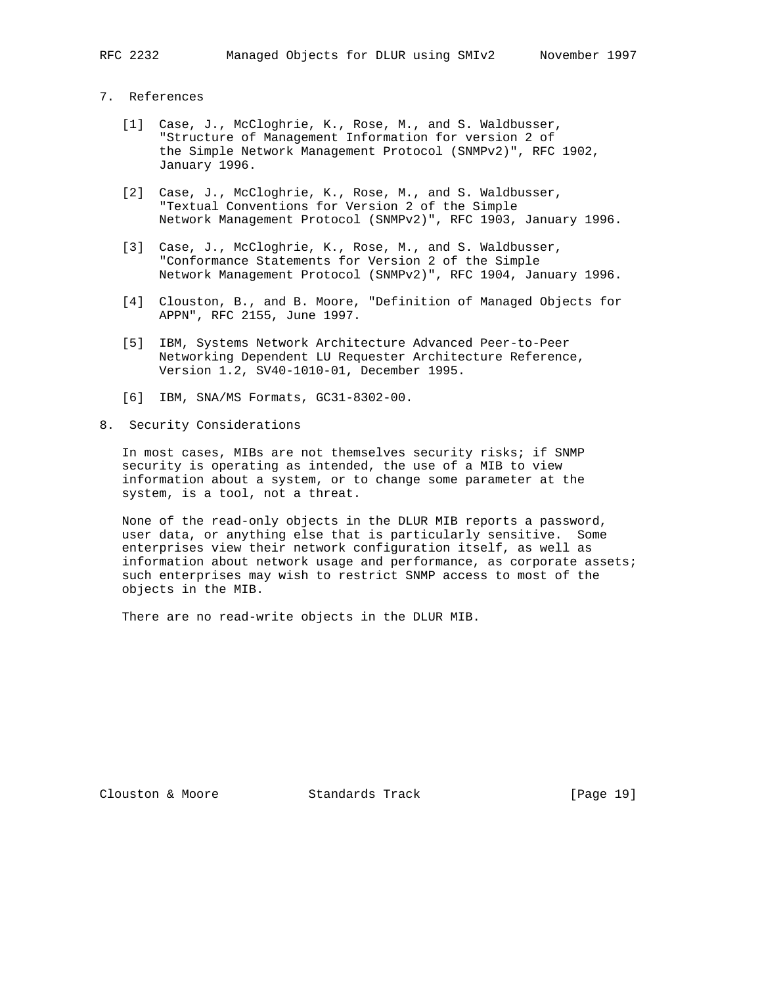- 
- 7. References
	- [1] Case, J., McCloghrie, K., Rose, M., and S. Waldbusser, "Structure of Management Information for version 2 of the Simple Network Management Protocol (SNMPv2)", RFC 1902, January 1996.
	- [2] Case, J., McCloghrie, K., Rose, M., and S. Waldbusser, "Textual Conventions for Version 2 of the Simple Network Management Protocol (SNMPv2)", RFC 1903, January 1996.
	- [3] Case, J., McCloghrie, K., Rose, M., and S. Waldbusser, "Conformance Statements for Version 2 of the Simple Network Management Protocol (SNMPv2)", RFC 1904, January 1996.
	- [4] Clouston, B., and B. Moore, "Definition of Managed Objects for APPN", RFC 2155, June 1997.
	- [5] IBM, Systems Network Architecture Advanced Peer-to-Peer Networking Dependent LU Requester Architecture Reference, Version 1.2, SV40-1010-01, December 1995.
	- [6] IBM, SNA/MS Formats, GC31-8302-00.
- 8. Security Considerations

 In most cases, MIBs are not themselves security risks; if SNMP security is operating as intended, the use of a MIB to view information about a system, or to change some parameter at the system, is a tool, not a threat.

 None of the read-only objects in the DLUR MIB reports a password, user data, or anything else that is particularly sensitive. Some enterprises view their network configuration itself, as well as information about network usage and performance, as corporate assets; such enterprises may wish to restrict SNMP access to most of the objects in the MIB.

There are no read-write objects in the DLUR MIB.

Clouston & Moore Standards Track [Page 19]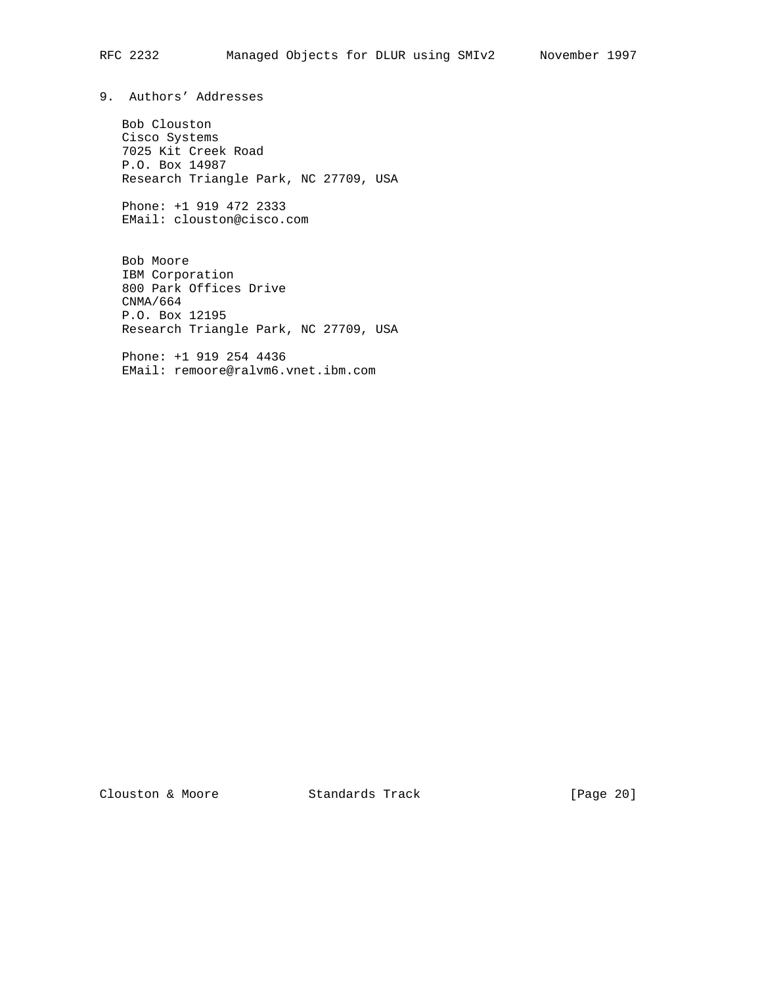9. Authors' Addresses

 Bob Clouston Cisco Systems 7025 Kit Creek Road P.O. Box 14987 Research Triangle Park, NC 27709, USA

 Phone: +1 919 472 2333 EMail: clouston@cisco.com

 Bob Moore IBM Corporation 800 Park Offices Drive CNMA/664 P.O. Box 12195 Research Triangle Park, NC 27709, USA

 Phone: +1 919 254 4436 EMail: remoore@ralvm6.vnet.ibm.com